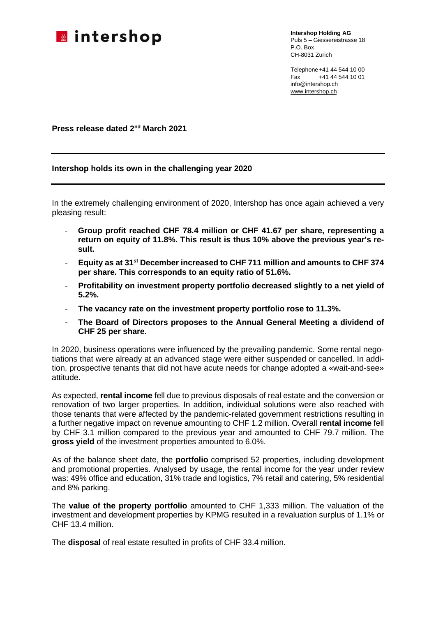

**Intershop Holding AG** Puls 5 – Giessereistrasse 18 P.O. Box CH-8031 Zurich

Telephone+41 44 544 10 00 Fax +41 44 544 10 01 [info@intershop.ch](mailto:info@intershop.ch) [www.intershop.ch](http://www.intershop.ch/)

**Press release dated 2nd March 2021**

# **Intershop holds its own in the challenging year 2020**

In the extremely challenging environment of 2020, Intershop has once again achieved a very pleasing result:

- **Group profit reached CHF 78.4 million or CHF 41.67 per share, representing a return on equity of 11.8%. This result is thus 10% above the previous year's result.**
- **Equity as at 31st December increased to CHF 711 million and amounts to CHF 374 per share. This corresponds to an equity ratio of 51.6%.**
- **Profitability on investment property portfolio decreased slightly to a net yield of 5.2%.**
- **The vacancy rate on the investment property portfolio rose to 11.3%.**
- **The Board of Directors proposes to the Annual General Meeting a dividend of CHF 25 per share.**

In 2020, business operations were influenced by the prevailing pandemic. Some rental negotiations that were already at an advanced stage were either suspended or cancelled. In addition, prospective tenants that did not have acute needs for change adopted a «wait-and-see» attitude.

As expected, **rental income** fell due to previous disposals of real estate and the conversion or renovation of two larger properties. In addition, individual solutions were also reached with those tenants that were affected by the pandemic-related government restrictions resulting in a further negative impact on revenue amounting to CHF 1.2 million. Overall **rental income** fell by CHF 3.1 million compared to the previous year and amounted to CHF 79.7 million. The **gross yield** of the investment properties amounted to 6.0%.

As of the balance sheet date, the **portfolio** comprised 52 properties, including development and promotional properties. Analysed by usage, the rental income for the year under review was: 49% office and education, 31% trade and logistics, 7% retail and catering, 5% residential and 8% parking.

The **value of the property portfolio** amounted to CHF 1,333 million. The valuation of the investment and development properties by KPMG resulted in a revaluation surplus of 1.1% or CHF 13.4 million.

The **disposal** of real estate resulted in profits of CHF 33.4 million.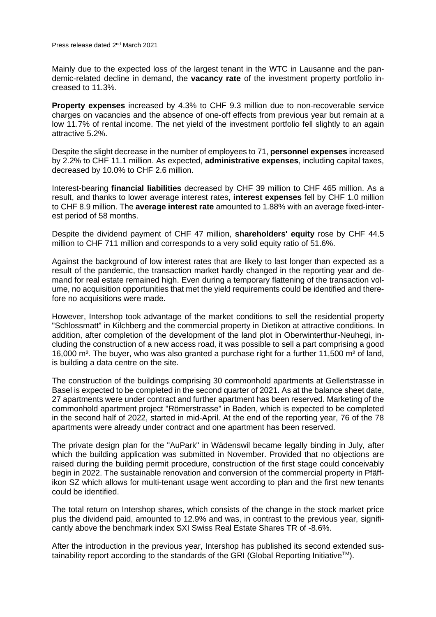Press release dated 2nd March 2021

Mainly due to the expected loss of the largest tenant in the WTC in Lausanne and the pandemic-related decline in demand, the **vacancy rate** of the investment property portfolio increased to 11.3%.

**Property expenses** increased by 4.3% to CHF 9.3 million due to non-recoverable service charges on vacancies and the absence of one-off effects from previous year but remain at a low 11.7% of rental income. The net yield of the investment portfolio fell slightly to an again attractive 5.2%.

Despite the slight decrease in the number of employees to 71, **personnel expenses** increased by 2.2% to CHF 11.1 million. As expected, **administrative expenses**, including capital taxes, decreased by 10.0% to CHF 2.6 million.

Interest-bearing **financial liabilities** decreased by CHF 39 million to CHF 465 million. As a result, and thanks to lower average interest rates, **interest expenses** fell by CHF 1.0 million to CHF 8.9 million. The **average interest rate** amounted to 1.88% with an average fixed-interest period of 58 months.

Despite the dividend payment of CHF 47 million, **shareholders' equity** rose by CHF 44.5 million to CHF 711 million and corresponds to a very solid equity ratio of 51.6%.

Against the background of low interest rates that are likely to last longer than expected as a result of the pandemic, the transaction market hardly changed in the reporting year and demand for real estate remained high. Even during a temporary flattening of the transaction volume, no acquisition opportunities that met the yield requirements could be identified and therefore no acquisitions were made.

However, Intershop took advantage of the market conditions to sell the residential property "Schlossmatt" in Kilchberg and the commercial property in Dietikon at attractive conditions. In addition, after completion of the development of the land plot in Oberwinterthur-Neuhegi, including the construction of a new access road, it was possible to sell a part comprising a good 16,000 m². The buyer, who was also granted a purchase right for a further 11,500 m² of land, is building a data centre on the site.

The construction of the buildings comprising 30 commonhold apartments at Gellertstrasse in Basel is expected to be completed in the second quarter of 2021. As at the balance sheet date, 27 apartments were under contract and further apartment has been reserved. Marketing of the commonhold apartment project "Römerstrasse" in Baden, which is expected to be completed in the second half of 2022, started in mid-April. At the end of the reporting year, 76 of the 78 apartments were already under contract and one apartment has been reserved.

The private design plan for the "AuPark" in Wädenswil became legally binding in July, after which the building application was submitted in November. Provided that no objections are raised during the building permit procedure, construction of the first stage could conceivably begin in 2022. The sustainable renovation and conversion of the commercial property in Pfäffikon SZ which allows for multi-tenant usage went according to plan and the first new tenants could be identified.

The total return on Intershop shares, which consists of the change in the stock market price plus the dividend paid, amounted to 12.9% and was, in contrast to the previous year, significantly above the benchmark index SXI Swiss Real Estate Shares TR of -8.6%.

After the introduction in the previous year, Intershop has published its second extended sustainability report according to the standards of the GRI (Global Reporting Initiative<sup>TM</sup>).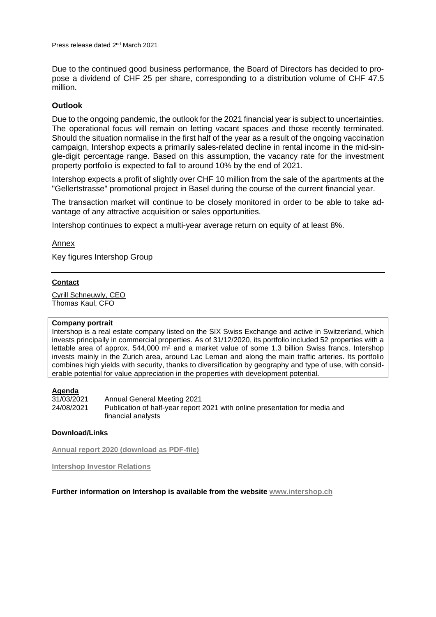Due to the continued good business performance, the Board of Directors has decided to propose a dividend of CHF 25 per share, corresponding to a distribution volume of CHF 47.5 million.

# **Outlook**

Due to the ongoing pandemic, the outlook for the 2021 financial year is subject to uncertainties. The operational focus will remain on letting vacant spaces and those recently terminated. Should the situation normalise in the first half of the year as a result of the ongoing vaccination campaign, Intershop expects a primarily sales-related decline in rental income in the mid-single-digit percentage range. Based on this assumption, the vacancy rate for the investment property portfolio is expected to fall to around 10% by the end of 2021.

Intershop expects a profit of slightly over CHF 10 million from the sale of the apartments at the "Gellertstrasse" promotional project in Basel during the course of the current financial year.

The transaction market will continue to be closely monitored in order to be able to take advantage of any attractive acquisition or sales opportunities.

Intershop continues to expect a multi-year average return on equity of at least 8%.

### Annex

Key figures Intershop Group

#### **Contact**

Cyrill [Schneuwly,](mailto:info@intershop.ch) CEO [Thomas](mailto:info@intershop.ch) Kaul, CFO

#### **Company portrait**

Intershop is a real estate company listed on the SIX Swiss Exchange and active in Switzerland, which invests principally in commercial properties. As of 31/12/2020, its portfolio included 52 properties with a lettable area of approx. 544,000 m<sup>2</sup> and a market value of some 1.3 billion Swiss francs. Intershop invests mainly in the Zurich area, around Lac Leman and along the main traffic arteries. Its portfolio combines high yields with security, thanks to diversification by geography and type of use, with considerable potential for value appreciation in the properties with development potential.

# **Agenda**<br>31/03/2021

31/03/2021 Annual General Meeting 2021 24/08/2021 Publication of half-year report 2021 with online presentation for media and financial analysts

#### **Download/Links**

**Annual report 2020 [\(download](https://intershop.ch/fileadmin/Daten/PDF/Geschaeftsbericht/2020/en/2020_GBE_final_Web.pdf) as PDF-file)**

**[Intershop](https://intershop.ch/en/investors/annual-reports-and-presentations/2020) Investor Relations**

**Further information on Intershop is available from the website [www.intershop.ch](http://www.intershop.ch/)**